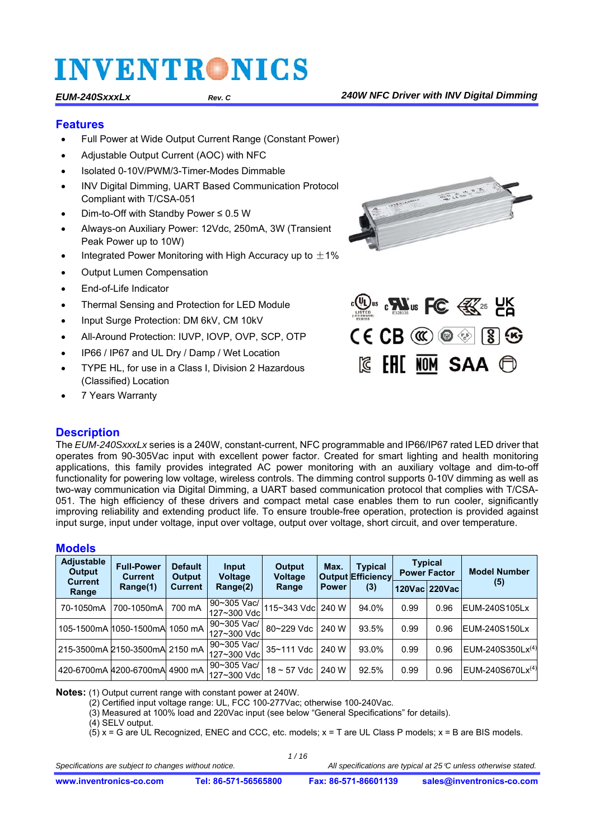### **Features**

- Full Power at Wide Output Current Range (Constant Power)
- Adjustable Output Current (AOC) with NFC
- Isolated 0-10V/PWM/3-Timer-Modes Dimmable
- INV Digital Dimming, UART Based Communication Protocol Compliant with T/CSA-051
- Dim-to-Off with Standby Power ≤ 0.5 W
- Always-on Auxiliary Power: 12Vdc, 250mA, 3W (Transient Peak Power up to 10W)
- Integrated Power Monitoring with High Accuracy up to  $\pm$  1%
- Output Lumen Compensation
- End-of-Life Indicator
- Thermal Sensing and Protection for LED Module
- Input Surge Protection: DM 6kV, CM 10kV
- All-Around Protection: IUVP, IOVP, OVP, SCP, OTP
- IP66 / IP67 and UL Dry / Damp / Wet Location
- TYPE HL, for use in a Class I, Division 2 Hazardous (Classified) Location
- 7 Years Warranty





### **Description**

The *EUM-240SxxxLx* series is a 240W, constant-current, NFC programmable and IP66/IP67 rated LED driver that operates from 90-305Vac input with excellent power factor. Created for smart lighting and health monitoring applications, this family provides integrated AC power monitoring with an auxiliary voltage and dim-to-off functionality for powering low voltage, wireless controls. The dimming control supports 0-10V dimming as well as two-way communication via Digital Dimming, a UART based communication protocol that complies with T/CSA-051. The high efficiency of these drivers and compact metal case enables them to run cooler, significantly improving reliability and extending product life. To ensure trouble-free operation, protection is provided against input surge, input under voltage, input over voltage, output over voltage, short circuit, and over temperature.

### **Models**

| Adjustable<br>Output    | <b>Full-Power</b><br><b>Current</b> | <b>Default</b><br>Output | Input<br><b>Voltage</b>    | Output<br><b>Voltage</b> | Max.         | <b>Typical</b><br><b>Output Efficiency</b> |      | <b>Typical</b><br><b>Power Factor</b> | <b>Model Number</b>    |
|-------------------------|-------------------------------------|--------------------------|----------------------------|--------------------------|--------------|--------------------------------------------|------|---------------------------------------|------------------------|
| <b>Current</b><br>Range | Range(1)                            | Current                  | Range(2)                   | Range                    | <b>Power</b> | (3)                                        |      | 120Vac 220Vac                         | (5)                    |
| 70-1050mA               | 700-1050mA                          | 700 mA                   | 90~305 Vac/<br>127~300 Vdc | 115~343 Vdcl 240 W       |              | 94.0%                                      | 0.99 | 0.96                                  | <b>IEUM-240S105Lx</b>  |
|                         | 105-1500mA 1050-1500mA 1050 mA      |                          | 90~305 Vac/<br>127~300 Vdc | 80~229 Vdc               | 240 W        | 93.5%                                      | 0.99 | 0.96                                  | <b>IEUM-240S150Lx</b>  |
|                         | 215-3500mA 2150-3500mA 2150 mA      |                          | 90~305 Vac/<br>127~300 Vdc | 35~111 Vdc               | 240 W        | 93.0%                                      | 0.99 | 0.96                                  | EUM-240S350L $x^{(4)}$ |
|                         | 420-6700mA 4200-6700mA 4900 mA      |                          | 90~305 Vac/<br>127~300 Vdc | $18 \sim 57$ Vdc         | 240 W        | 92.5%                                      | 0.99 | 0.96                                  | EUM-240S670L $x^{(4)}$ |

**Notes:** (1) Output current range with constant power at 240W.

(2) Certified input voltage range: UL, FCC 100-277Vac; otherwise 100-240Vac.

(3) Measured at 100% load and 220Vac input (see below "General Specifications" for details).

(4) SELV output.

 $(5)$  x = G are UL Recognized, ENEC and CCC, etc. models;  $x = T$  are UL Class P models;  $x = B$  are BIS models.

Specifications are subject to changes without notice. **All specifications are typical at 25**<sup> $c$ </sup> unless otherwise stated.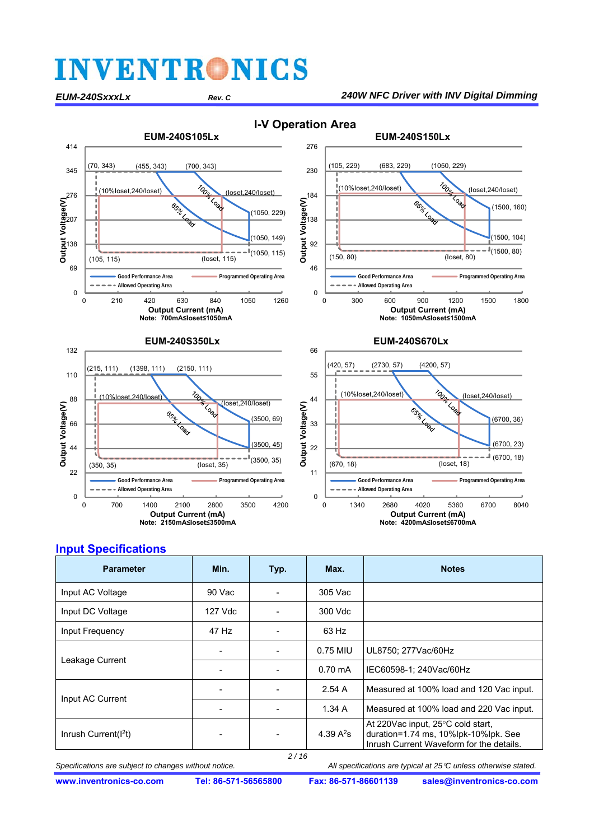### *EUM-240SxxxLx Rev. C 240W NFC Driver with INV Digital Dimming*



#### **I-V Operation Area**

### **Input Specifications**

| <b>Parameter</b>        | Min.    | Typ. | Max.              | <b>Notes</b>                                                                                                          |  |  |
|-------------------------|---------|------|-------------------|-----------------------------------------------------------------------------------------------------------------------|--|--|
| Input AC Voltage        | 90 Vac  |      | 305 Vac           |                                                                                                                       |  |  |
| Input DC Voltage        | 127 Vdc |      | 300 Vdc           |                                                                                                                       |  |  |
| Input Frequency         | 47 Hz   |      | 63 Hz             |                                                                                                                       |  |  |
|                         |         |      | 0.75 MIU          | UL8750; 277Vac/60Hz                                                                                                   |  |  |
| Leakage Current         |         |      | $0.70 \text{ mA}$ | IEC60598-1; 240Vac/60Hz                                                                                               |  |  |
|                         |         |      | 2.54A             | Measured at 100% load and 120 Vac input.                                                                              |  |  |
| Input AC Current        |         |      | 1.34A             | Measured at 100% load and 220 Vac input.                                                                              |  |  |
| Inrush Current( $12$ t) |         |      | 4.39 $A^2s$       | At 220Vac input, 25°C cold start,<br>duration=1.74 ms, 10%lpk-10%lpk. See<br>Inrush Current Waveform for the details. |  |  |
| 2/16                    |         |      |                   |                                                                                                                       |  |  |

Specifications are subject to changes without notice. **All specifications are typical at 25**<sup> $c$ </sup> unless otherwise stated.

**www.inventronics-co.com Tel: 86-571-56565800 Fax: 86-571-86601139 sales@inventronics-co.com**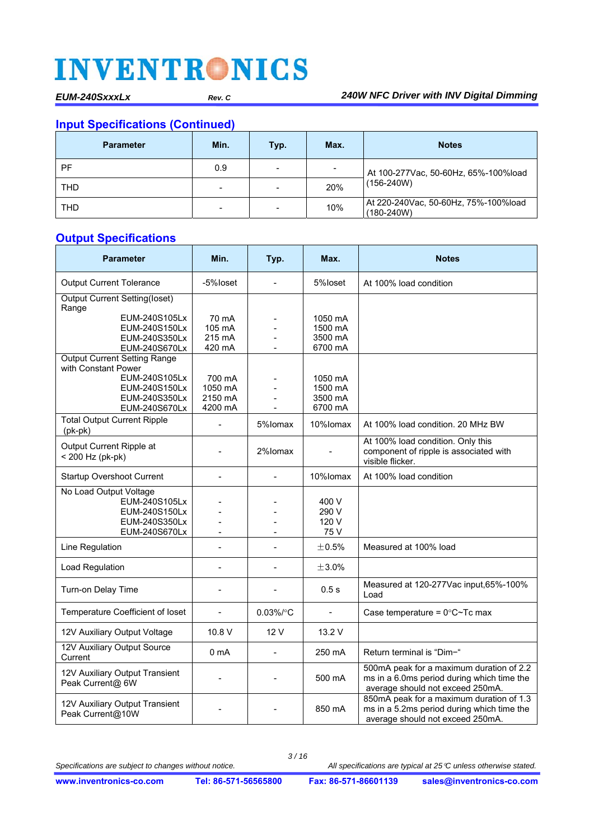### **Input Specifications (Continued)**

| <b>Parameter</b> | Min. | Typ.                         | Max.                     | <b>Notes</b>                                         |
|------------------|------|------------------------------|--------------------------|------------------------------------------------------|
| PF               | 0.9  | $\qquad \qquad \blacksquare$ | $\overline{\phantom{0}}$ | At 100-277 Vac, 50-60Hz, 65%-100%load                |
| THD              | -    | $\qquad \qquad \blacksquare$ | 20%                      | $(156-240W)$                                         |
| <b>THD</b>       | -    | $\qquad \qquad \blacksquare$ | 10%                      | At 220-240Vac, 50-60Hz, 75%-100%load<br>$(180-240W)$ |

## **Output Specifications**

| <b>Parameter</b>                                                                           | Min.                                | Typ.           | Max.                                     | <b>Notes</b>                                                                                                               |
|--------------------------------------------------------------------------------------------|-------------------------------------|----------------|------------------------------------------|----------------------------------------------------------------------------------------------------------------------------|
| <b>Output Current Tolerance</b>                                                            | -5%loset                            | $\blacksquare$ | 5%loset                                  | At 100% load condition                                                                                                     |
| <b>Output Current Setting(loset)</b><br>Range                                              |                                     |                |                                          |                                                                                                                            |
| EUM-240S105Lx<br>EUM-240S150Lx<br>EUM-240S350Lx<br>EUM-240S670Lx                           | 70 mA<br>105 mA<br>215 mA<br>420 mA |                | 1050 mA<br>1500 mA<br>3500 mA<br>6700 mA |                                                                                                                            |
| <b>Output Current Setting Range</b><br>with Constant Power<br>EUM-240S105Lx                | 700 mA                              |                | 1050 mA                                  |                                                                                                                            |
| EUM-240S150Lx<br>EUM-240S350Lx<br>EUM-240S670Lx                                            | 1050 mA<br>2150 mA<br>4200 mA       | $\blacksquare$ | 1500 mA<br>3500 mA<br>6700 mA            |                                                                                                                            |
| <b>Total Output Current Ripple</b><br>$(pk-pk)$                                            |                                     | 5%lomax        | 10%lomax                                 | At 100% load condition, 20 MHz BW                                                                                          |
| Output Current Ripple at<br>< 200 Hz (pk-pk)                                               |                                     | 2%lomax        |                                          | At 100% load condition. Only this<br>component of ripple is associated with<br>visible flicker.                            |
| <b>Startup Overshoot Current</b>                                                           |                                     |                | 10%lomax                                 | At 100% load condition                                                                                                     |
| No Load Output Voltage<br>EUM-240S105Lx<br>EUM-240S150Lx<br>EUM-240S350Lx<br>EUM-240S670Lx | $\blacksquare$                      | $\blacksquare$ | 400 V<br>290 V<br>120 V<br>75 V          |                                                                                                                            |
| Line Regulation                                                                            |                                     |                | ±0.5%                                    | Measured at 100% load                                                                                                      |
| Load Regulation                                                                            |                                     |                | ±3.0%                                    |                                                                                                                            |
| Turn-on Delay Time                                                                         | $\blacksquare$                      |                | 0.5s                                     | Measured at 120-277Vac input, 65%-100%<br>Load                                                                             |
| Temperature Coefficient of loset                                                           | L,                                  | $0.03\%$ /°C   | $\blacksquare$                           | Case temperature = $0^{\circ}$ C~Tc max                                                                                    |
| 12V Auxiliary Output Voltage                                                               | 10.8 V                              | 12V            | 13.2 V                                   |                                                                                                                            |
| 12V Auxiliary Output Source<br>Current                                                     | 0 <sub>m</sub> A                    | L.             | 250 mA                                   | Return terminal is "Dim-"                                                                                                  |
| 12V Auxiliary Output Transient<br>Peak Current@ 6W                                         |                                     |                | 500 mA                                   | 500mA peak for a maximum duration of 2.2<br>ms in a 6.0ms period during which time the<br>average should not exceed 250mA. |
| 12V Auxiliary Output Transient<br>Peak Current@10W                                         |                                     |                | 850 mA                                   | 850mA peak for a maximum duration of 1.3<br>ms in a 5.2ms period during which time the<br>average should not exceed 250mA. |

*3 / 16*

*Specifications are subject to changes without notice. All specifications are typical at 25C unless otherwise stated.*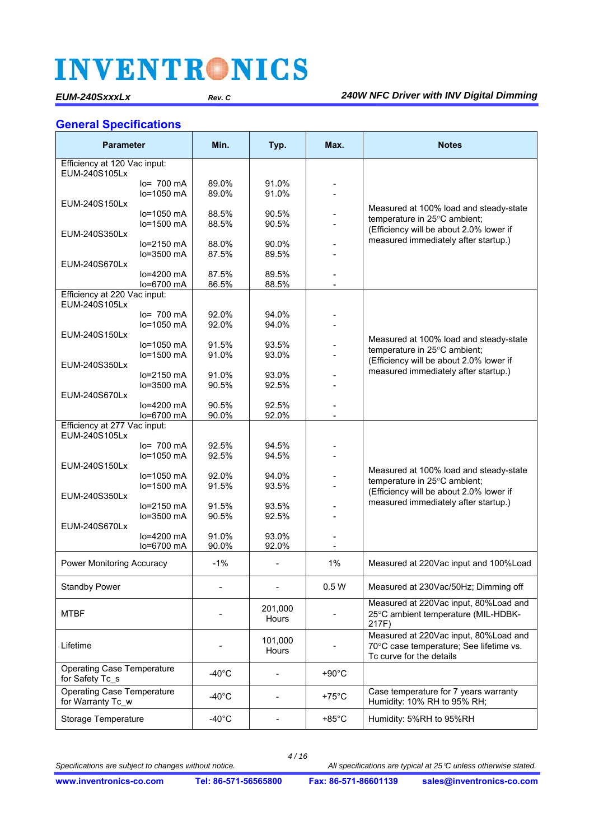### **General Specifications**

| <b>Parameter</b>                                       |                             | Min.            | Typ.                     | Max.            | <b>Notes</b>                                                                                                 |
|--------------------------------------------------------|-----------------------------|-----------------|--------------------------|-----------------|--------------------------------------------------------------------------------------------------------------|
| Efficiency at 120 Vac input:                           |                             |                 |                          |                 |                                                                                                              |
| EUM-240S105Lx                                          | $lo = 700$ mA               | 89.0%           | 91.0%                    |                 |                                                                                                              |
|                                                        | lo=1050 mA                  | 89.0%           | 91.0%                    |                 |                                                                                                              |
| EUM-240S150Lx                                          |                             |                 |                          |                 | Measured at 100% load and steady-state                                                                       |
|                                                        | $lo=1050$ mA                | 88.5%           | 90.5%<br>90.5%           |                 | temperature in 25°C ambient;                                                                                 |
| EUM-240S350Lx                                          | lo=1500 mA                  | 88.5%           |                          |                 | (Efficiency will be about 2.0% lower if                                                                      |
|                                                        | $lo=2150$ mA                | 88.0%           | 90.0%                    |                 | measured immediately after startup.)                                                                         |
|                                                        | lo=3500 mA                  | 87.5%           | 89.5%                    |                 |                                                                                                              |
| EUM-240S670Lx                                          | $lo=4200$ mA                | 87.5%           | 89.5%                    |                 |                                                                                                              |
|                                                        | lo=6700 mA                  | 86.5%           | 88.5%                    |                 |                                                                                                              |
| Efficiency at 220 Vac input:                           |                             |                 |                          |                 |                                                                                                              |
| EUM-240S105Lx                                          |                             |                 | 94.0%                    |                 |                                                                                                              |
|                                                        | $lo = 700$ mA<br>lo=1050 mA | 92.0%<br>92.0%  | 94.0%                    |                 |                                                                                                              |
| EUM-240S150Lx                                          |                             |                 |                          |                 | Measured at 100% load and steady-state                                                                       |
|                                                        | $lo=1050$ mA                | 91.5%           | 93.5%                    |                 | temperature in 25°C ambient;                                                                                 |
| EUM-240S350Lx                                          | lo=1500 mA                  | 91.0%           | 93.0%                    |                 | (Efficiency will be about 2.0% lower if                                                                      |
|                                                        | $lo=2150$ mA                | 91.0%           | 93.0%                    |                 | measured immediately after startup.)                                                                         |
|                                                        | lo=3500 mA                  | 90.5%           | 92.5%                    |                 |                                                                                                              |
| EUM-240S670Lx                                          |                             |                 |                          |                 |                                                                                                              |
|                                                        | lo=4200 mA<br>lo=6700 mA    | 90.5%<br>90.0%  | 92.5%<br>92.0%           |                 |                                                                                                              |
| Efficiency at 277 Vac input:                           |                             |                 |                          |                 |                                                                                                              |
| EUM-240S105Lx                                          |                             |                 |                          |                 |                                                                                                              |
|                                                        | $lo = 700$ mA<br>lo=1050 mA | 92.5%<br>92.5%  | 94.5%<br>94.5%           |                 |                                                                                                              |
| EUM-240S150Lx                                          |                             |                 |                          |                 |                                                                                                              |
|                                                        | lo=1050 mA                  | 92.0%           | 94.0%                    |                 | Measured at 100% load and steady-state<br>temperature in 25°C ambient;                                       |
|                                                        | lo=1500 mA                  | 91.5%           | 93.5%                    |                 | (Efficiency will be about 2.0% lower if                                                                      |
| EUM-240S350Lx                                          | $lo=2150$ mA                | 91.5%           | 93.5%                    |                 | measured immediately after startup.)                                                                         |
|                                                        | lo=3500 mA                  | 90.5%           | 92.5%                    |                 |                                                                                                              |
| EUM-240S670Lx                                          |                             |                 |                          |                 |                                                                                                              |
|                                                        | lo=4200 mA<br>lo=6700 mA    | 91.0%           | 93.0%<br>92.0%           |                 |                                                                                                              |
|                                                        |                             | 90.0%           |                          |                 |                                                                                                              |
| Power Monitoring Accuracy                              |                             | $-1%$           |                          | 1%              | Measured at 220Vac input and 100%Load                                                                        |
| <b>Standby Power</b>                                   |                             |                 |                          | 0.5W            | Measured at 230Vac/50Hz; Dimming off                                                                         |
| <b>MTBF</b>                                            |                             |                 | 201,000<br><b>Hours</b>  |                 | Measured at 220Vac input, 80%Load and<br>25°C ambient temperature (MIL-HDBK-<br>217F)                        |
| Lifetime                                               |                             |                 | 101,000<br>Hours         |                 | Measured at 220Vac input, 80%Load and<br>70°C case temperature; See lifetime vs.<br>Tc curve for the details |
| <b>Operating Case Temperature</b><br>for Safety Tc_s   |                             | $-40^{\circ}$ C |                          | $+90^{\circ}$ C |                                                                                                              |
| <b>Operating Case Temperature</b><br>for Warranty Tc w |                             | $-40^{\circ}$ C | $\overline{\phantom{0}}$ | $+75^{\circ}$ C | Case temperature for 7 years warranty<br>Humidity: 10% RH to 95% RH;                                         |
| Storage Temperature                                    |                             | $-40^{\circ}$ C |                          | $+85^{\circ}$ C | Humidity: 5%RH to 95%RH                                                                                      |

*Specifications are subject to changes without notice. All specifications are typical at 25C unless otherwise stated.*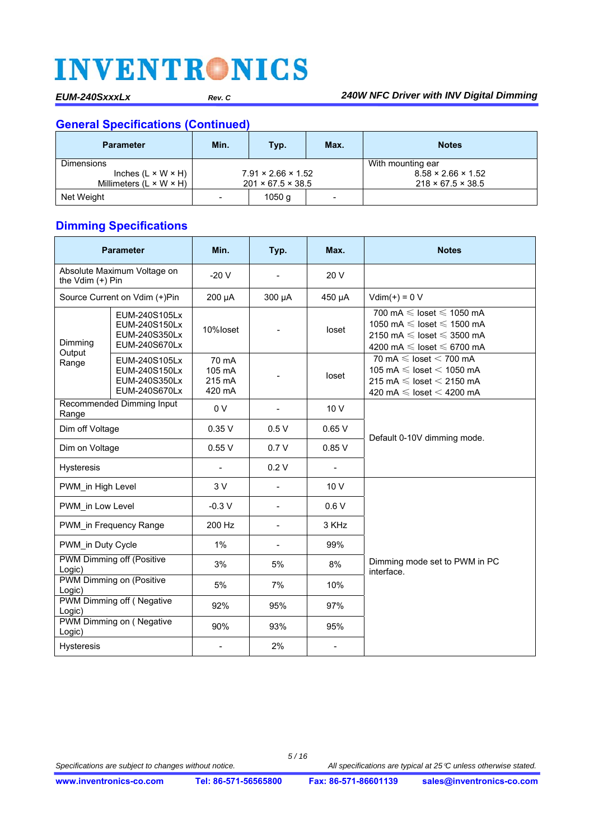## **General Specifications (Continued)**

| <b>Parameter</b>                    | Min.                     | Typ.                           | Max.                     | <b>Notes</b>                   |
|-------------------------------------|--------------------------|--------------------------------|--------------------------|--------------------------------|
| Dimensions                          |                          |                                |                          | With mounting ear              |
| Inches $(L \times W \times H)$      |                          | $7.91 \times 2.66 \times 1.52$ |                          | $8.58 \times 2.66 \times 1.52$ |
| Millimeters $(L \times W \times H)$ |                          | $201 \times 67.5 \times 38.5$  |                          | $218 \times 67.5 \times 38.5$  |
| Net Weight                          | $\overline{\phantom{0}}$ | 1050q                          | $\overline{\phantom{a}}$ |                                |

## **Dimming Specifications**

|                                                                             | <b>Parameter</b>                                                 | Min.                                | Typ.           | Max.   | <b>Notes</b>                                                                                                                                            |  |
|-----------------------------------------------------------------------------|------------------------------------------------------------------|-------------------------------------|----------------|--------|---------------------------------------------------------------------------------------------------------------------------------------------------------|--|
| Absolute Maximum Voltage on<br>the Vdim (+) Pin                             |                                                                  | $-20V$                              | $\frac{1}{2}$  | 20 V   |                                                                                                                                                         |  |
|                                                                             | Source Current on Vdim (+)Pin                                    | 200 µA                              | 300 µA         | 450 µA | $Vdim(+) = 0 V$                                                                                                                                         |  |
| EUM-240S105Lx<br>EUM-240S150Lx<br>EUM-240S350Lx<br>Dimming<br>EUM-240S670Lx |                                                                  | 10%loset                            |                | loset  | 700 mA $\leq$ loset $\leq$ 1050 mA<br>1050 mA $\leq$ loset $\leq$ 1500 mA<br>2150 mA $\leq$ loset $\leq$ 3500 mA<br>4200 mA $\leq$ loset $\leq$ 6700 mA |  |
| Output<br>Range                                                             | EUM-240S105Lx<br>EUM-240S150Lx<br>EUM-240S350Lx<br>EUM-240S670Lx | 70 mA<br>105 mA<br>215 mA<br>420 mA |                | loset  | 70 mA $\leqslant$ loset $<$ 700 mA<br>105 mA $\leq$ loset $<$ 1050 mA<br>215 mA $\leq$ loset $<$ 2150 mA<br>420 mA $\leq$ loset $<$ 4200 mA             |  |
| Range                                                                       | Recommended Dimming Input                                        | 0 <sub>V</sub>                      | $\blacksquare$ | 10 V   |                                                                                                                                                         |  |
| Dim off Voltage                                                             |                                                                  | 0.35V                               | 0.5V           | 0.65V  | Default 0-10V dimming mode.                                                                                                                             |  |
| Dim on Voltage                                                              |                                                                  | 0.55V                               | 0.7V           | 0.85V  |                                                                                                                                                         |  |
| <b>Hysteresis</b>                                                           |                                                                  |                                     | 0.2V           |        |                                                                                                                                                         |  |
| PWM in High Level                                                           |                                                                  | 3V                                  | $\blacksquare$ | 10V    |                                                                                                                                                         |  |
| PWM in Low Level                                                            |                                                                  | $-0.3 V$                            | $\frac{1}{2}$  | 0.6V   |                                                                                                                                                         |  |
|                                                                             | PWM in Frequency Range                                           | 200 Hz                              | $\blacksquare$ | 3 KHz  |                                                                                                                                                         |  |
| PWM in Duty Cycle                                                           |                                                                  | 1%                                  | $\blacksquare$ | 99%    |                                                                                                                                                         |  |
| Logic)                                                                      | PWM Dimming off (Positive                                        | 3%                                  | 5%             | 8%     | Dimming mode set to PWM in PC<br>interface.                                                                                                             |  |
| Logic)                                                                      | PWM Dimming on (Positive                                         | 5%                                  | 7%             | 10%    |                                                                                                                                                         |  |
| Logic)                                                                      | PWM Dimming off (Negative                                        | 92%                                 | 95%            | 97%    |                                                                                                                                                         |  |
| Logic)                                                                      | PWM Dimming on (Negative                                         | 90%                                 | 93%            | 95%    |                                                                                                                                                         |  |
| <b>Hysteresis</b>                                                           |                                                                  |                                     | 2%             |        |                                                                                                                                                         |  |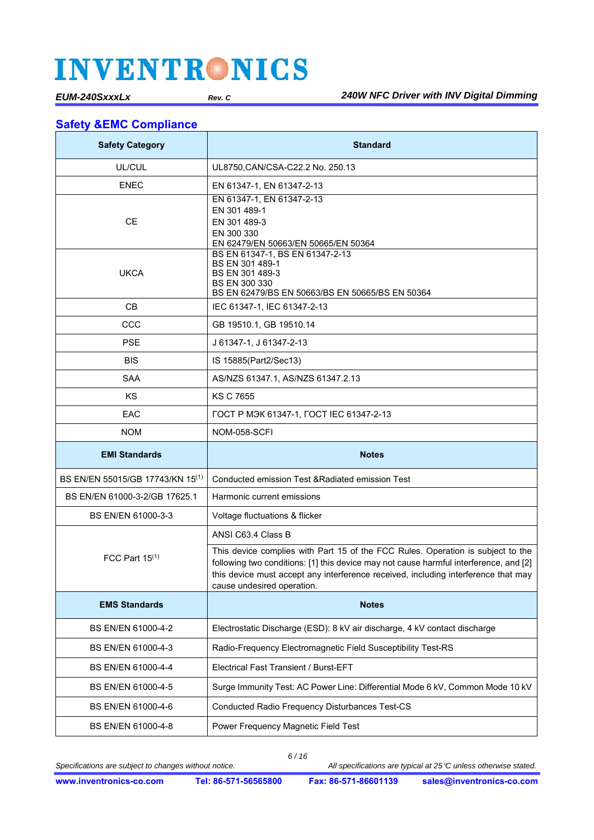### **Safety &EMC Compliance**

| <b>Safety Category</b>                       | <b>Standard</b>                                                                                                                                                                                                                                                                              |
|----------------------------------------------|----------------------------------------------------------------------------------------------------------------------------------------------------------------------------------------------------------------------------------------------------------------------------------------------|
| UL/CUL                                       | UL8750, CAN/CSA-C22.2 No. 250.13                                                                                                                                                                                                                                                             |
| <b>ENEC</b>                                  | EN 61347-1, EN 61347-2-13                                                                                                                                                                                                                                                                    |
| <b>CE</b>                                    | EN 61347-1, EN 61347-2-13<br>EN 301 489-1<br>EN 301 489-3<br>EN 300 330<br>EN 62479/EN 50663/EN 50665/EN 50364                                                                                                                                                                               |
| <b>UKCA</b>                                  | BS EN 61347-1, BS EN 61347-2-13<br>BS EN 301 489-1<br>BS EN 301 489-3<br><b>BS EN 300 330</b><br>BS EN 62479/BS EN 50663/BS EN 50665/BS EN 50364                                                                                                                                             |
| CB.                                          | IEC 61347-1, IEC 61347-2-13                                                                                                                                                                                                                                                                  |
| CCC                                          | GB 19510.1, GB 19510.14                                                                                                                                                                                                                                                                      |
| <b>PSE</b>                                   | J 61347-1, J 61347-2-13                                                                                                                                                                                                                                                                      |
| <b>BIS</b>                                   | IS 15885(Part2/Sec13)                                                                                                                                                                                                                                                                        |
| SAA                                          | AS/NZS 61347.1, AS/NZS 61347.2.13                                                                                                                                                                                                                                                            |
| ΚS                                           | <b>KS C 7655</b>                                                                                                                                                                                                                                                                             |
| EAC                                          | FOCT P MOK 61347-1, FOCT IEC 61347-2-13                                                                                                                                                                                                                                                      |
| <b>NOM</b>                                   | NOM-058-SCFI                                                                                                                                                                                                                                                                                 |
|                                              |                                                                                                                                                                                                                                                                                              |
| <b>EMI Standards</b>                         | <b>Notes</b>                                                                                                                                                                                                                                                                                 |
| BS EN/EN 55015/GB 17743/KN 15 <sup>(1)</sup> | Conducted emission Test & Radiated emission Test                                                                                                                                                                                                                                             |
| BS EN/EN 61000-3-2/GB 17625.1                | Harmonic current emissions                                                                                                                                                                                                                                                                   |
| BS EN/EN 61000-3-3                           | Voltage fluctuations & flicker                                                                                                                                                                                                                                                               |
|                                              | ANSI C63.4 Class B                                                                                                                                                                                                                                                                           |
| FCC Part $15^{(1)}$                          | This device complies with Part 15 of the FCC Rules. Operation is subject to the<br>following two conditions: [1] this device may not cause harmful interference, and [2]<br>this device must accept any interference received, including interference that may<br>cause undesired operation. |
| <b>EMS Standards</b>                         | <b>Notes</b>                                                                                                                                                                                                                                                                                 |
| BS EN/EN 61000-4-2                           | Electrostatic Discharge (ESD): 8 kV air discharge, 4 kV contact discharge                                                                                                                                                                                                                    |
| BS EN/EN 61000-4-3                           | Radio-Frequency Electromagnetic Field Susceptibility Test-RS                                                                                                                                                                                                                                 |
| BS EN/EN 61000-4-4                           | <b>Electrical Fast Transient / Burst-EFT</b>                                                                                                                                                                                                                                                 |
| BS EN/EN 61000-4-5                           | Surge Immunity Test: AC Power Line: Differential Mode 6 kV, Common Mode 10 kV                                                                                                                                                                                                                |
| BS EN/EN 61000-4-6                           | Conducted Radio Frequency Disturbances Test-CS                                                                                                                                                                                                                                               |

*6 / 16*

**www.inventronics-co.com Tel: 86-571-56565800 Fax: 86-571-86601139 sales@inventronics-co.com**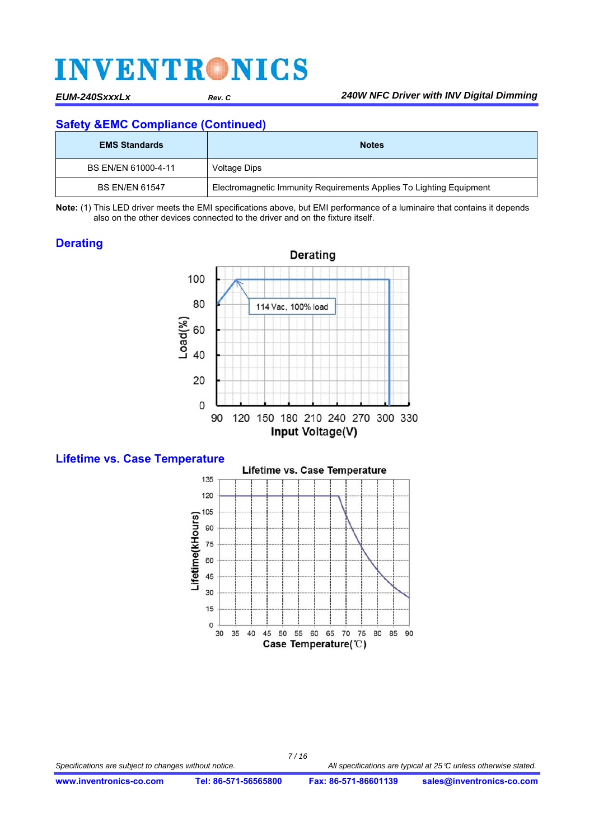## **Safety &EMC Compliance (Continued)**

| <b>EMS Standards</b>  | <b>Notes</b>                                                        |
|-----------------------|---------------------------------------------------------------------|
| BS EN/EN 61000-4-11   | Voltage Dips                                                        |
| <b>BS EN/EN 61547</b> | Electromagnetic Immunity Requirements Applies To Lighting Equipment |

**Note:** (1) This LED driver meets the EMI specifications above, but EMI performance of a luminaire that contains it depends also on the other devices connected to the driver and on the fixture itself.

## **Derating**



### **Lifetime vs. Case Temperature**

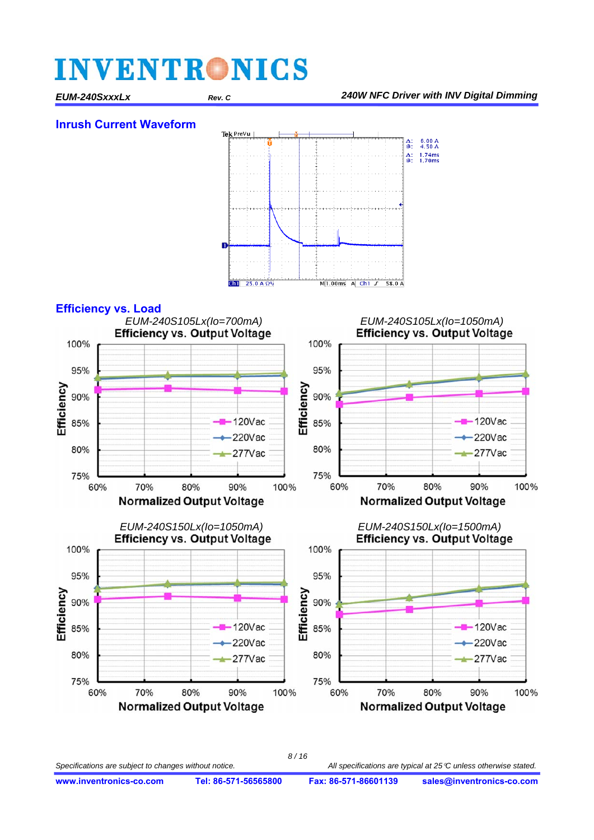### **Inrush Current Waveform**





*8 / 16*

Specifications are subject to changes without notice. **All specifications are typical at 25**<sup> $c$ </sup> unless otherwise stated.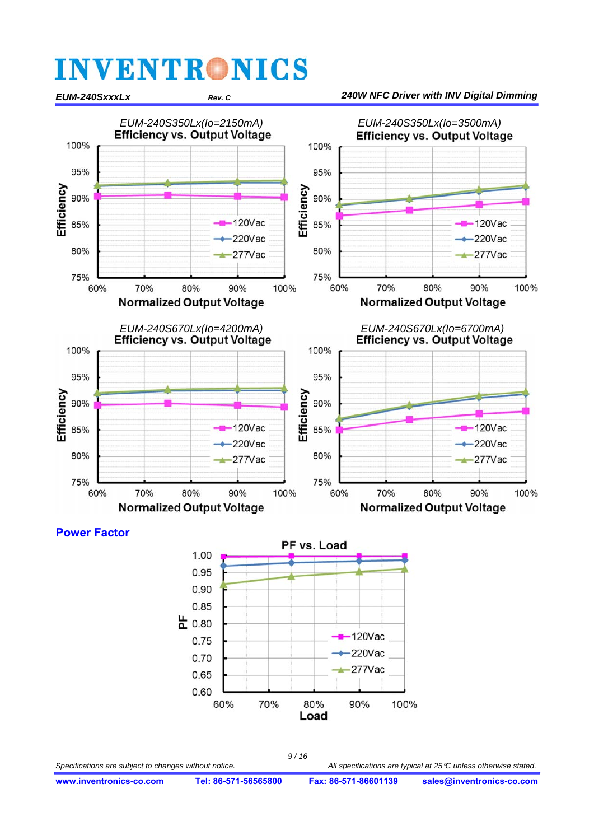





*9 / 16*

Specifications are subject to changes without notice. **All specifications are typical at 25**<sup> $c$ </sup> unless otherwise stated.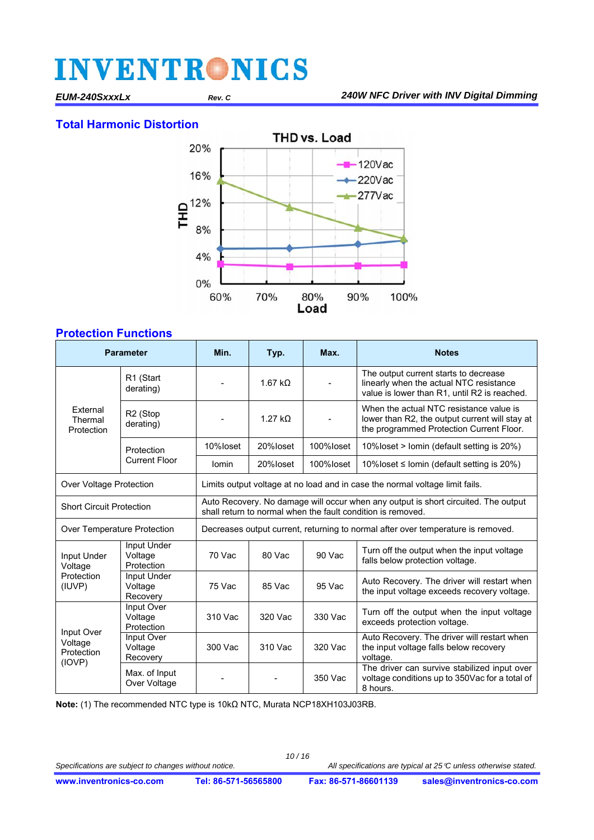## **Total Harmonic Distortion**



### **Protection Functions**

| <b>Parameter</b>                                               |                                    | Min.                                                                                                                                              | Typ.            | Max.                         | <b>Notes</b>                                                                                                                          |  |  |
|----------------------------------------------------------------|------------------------------------|---------------------------------------------------------------------------------------------------------------------------------------------------|-----------------|------------------------------|---------------------------------------------------------------------------------------------------------------------------------------|--|--|
|                                                                | R1 (Start<br>derating)             |                                                                                                                                                   | 1.67 k $\Omega$ | $\qquad \qquad \blacksquare$ | The output current starts to decrease<br>linearly when the actual NTC resistance<br>value is lower than R1, until R2 is reached.      |  |  |
| External<br>Thermal<br>Protection                              | R <sub>2</sub> (Stop<br>derating)  |                                                                                                                                                   | $1.27 k\Omega$  |                              | When the actual NTC resistance value is<br>lower than R2, the output current will stay at<br>the programmed Protection Current Floor. |  |  |
|                                                                | Protection                         | 10%loset                                                                                                                                          | 20%loset        | 100%loset                    | 10%loset > lomin (default setting is 20%)                                                                                             |  |  |
|                                                                | <b>Current Floor</b>               | Iomin                                                                                                                                             | 20%loset        | 100%loset                    | 10%loset ≤ Iomin (default setting is 20%)                                                                                             |  |  |
| Over Voltage Protection                                        |                                    | Limits output voltage at no load and in case the normal voltage limit fails.                                                                      |                 |                              |                                                                                                                                       |  |  |
| <b>Short Circuit Protection</b>                                |                                    | Auto Recovery. No damage will occur when any output is short circuited. The output<br>shall return to normal when the fault condition is removed. |                 |                              |                                                                                                                                       |  |  |
| Over Temperature Protection                                    |                                    | Decreases output current, returning to normal after over temperature is removed.                                                                  |                 |                              |                                                                                                                                       |  |  |
| Input Under<br>Voltage<br>Input Under<br>Protection<br>Voltage |                                    | 70 Vac                                                                                                                                            | 80 Vac          | 90 Vac                       | Turn off the output when the input voltage<br>falls below protection voltage.                                                         |  |  |
| Protection<br>(IUVP)                                           | Input Under<br>Voltage<br>Recovery | 75 Vac                                                                                                                                            | 85 Vac          | 95 Vac                       | Auto Recovery. The driver will restart when<br>the input voltage exceeds recovery voltage.                                            |  |  |
| Input Over<br>Voltage<br>Protection                            |                                    | 310 Vac                                                                                                                                           | 320 Vac         | 330 Vac                      | Turn off the output when the input voltage<br>exceeds protection voltage.                                                             |  |  |
| Input Over<br>Voltage<br>Protection                            | Input Over<br>Voltage<br>Recovery  | 300 Vac                                                                                                                                           | 310 Vac         | 320 Vac                      | Auto Recovery. The driver will restart when<br>the input voltage falls below recovery<br>voltage.                                     |  |  |
| (IOVP)                                                         | Max. of Input<br>Over Voltage      |                                                                                                                                                   |                 | 350 Vac                      | The driver can survive stabilized input over<br>voltage conditions up to 350Vac for a total of<br>8 hours.                            |  |  |

**Note:** (1) The recommended NTC type is 10kΩ NTC, Murata NCP18XH103J03RB.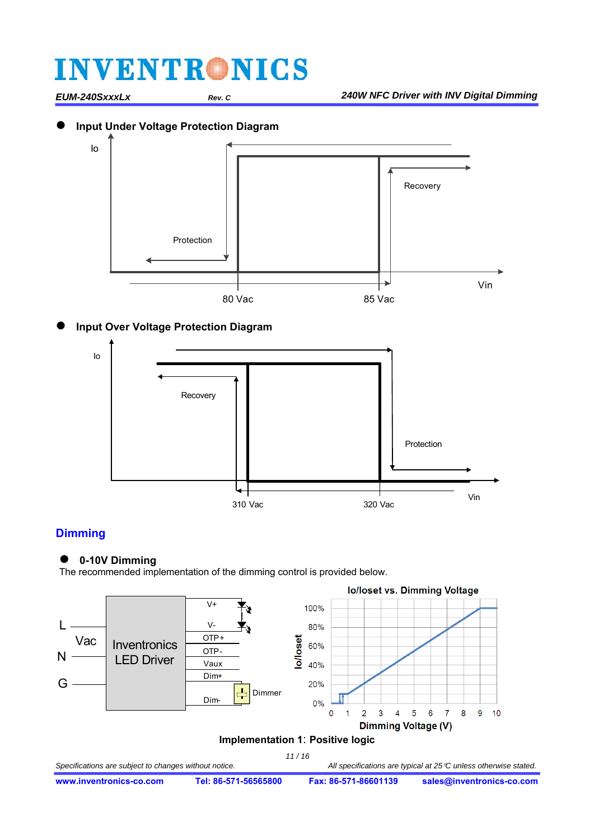*EUM-240SxxxLx Rev. C 240W NFC Driver with INV Digital Dimming*

## **Input Under Voltage Protection Diagram**

Io



## **Input Over Voltage Protection Diagram**



## **Dimming**

### **0-10V Dimming**

The recommended implementation of the dimming control is provided below.

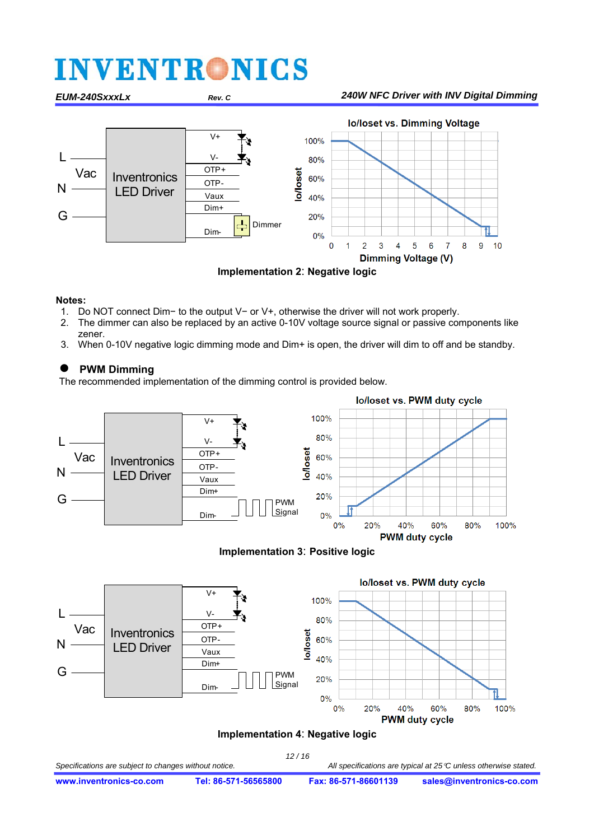### *EUM-240SxxxLx Rev. C 240W NFC Driver with INV Digital Dimming*



**Implementation 2**: **Negative logic** 

#### **Notes:**

- 1. Do NOT connect Dim− to the output V− or V+, otherwise the driver will not work properly.
- 2. The dimmer can also be replaced by an active 0-10V voltage source signal or passive components like zener.
- 3. When 0-10V negative logic dimming mode and Dim+ is open, the driver will dim to off and be standby.

### **PWM Dimming**

The recommended implementation of the dimming control is provided below.



**Implementation 3**: **Positive logic** 



### **Implementation 4**: **Negative logic**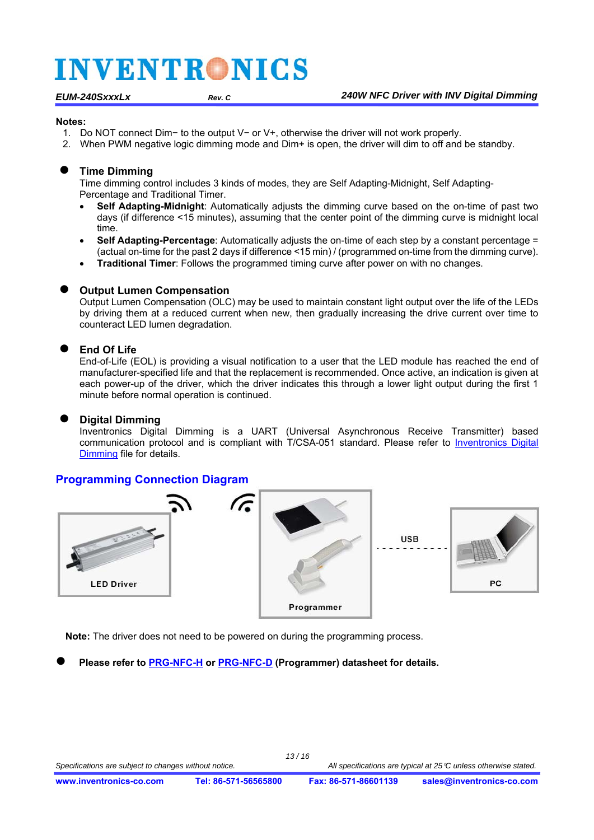#### **Notes:**

- 1. Do NOT connect Dim− to the output V− or V+, otherwise the driver will not work properly.
- 2. When PWM negative logic dimming mode and Dim+ is open, the driver will dim to off and be standby.

### **Time Dimming**

Time dimming control includes 3 kinds of modes, they are Self Adapting-Midnight, Self Adapting-Percentage and Traditional Timer.

- **Self Adapting-Midnight**: Automatically adjusts the dimming curve based on the on-time of past two days (if difference <15 minutes), assuming that the center point of the dimming curve is midnight local time.
- **Self Adapting-Percentage**: Automatically adjusts the on-time of each step by a constant percentage = (actual on-time for the past 2 days if difference <15 min) / (programmed on-time from the dimming curve).
- **Traditional Timer**: Follows the programmed timing curve after power on with no changes.

### **Output Lumen Compensation**

Output Lumen Compensation (OLC) may be used to maintain constant light output over the life of the LEDs by driving them at a reduced current when new, then gradually increasing the drive current over time to counteract LED lumen degradation.

### **End Of Life**

End-of-Life (EOL) is providing a visual notification to a user that the LED module has reached the end of manufacturer-specified life and that the replacement is recommended. Once active, an indication is given at each power-up of the driver, which the driver indicates this through a lower light output during the first 1 minute before normal operation is continued.

### **Digital Dimming**

Inventronics Digital Dimming is a UART (Universal Asynchronous Receive Transmitter) based communication protocol and is compliant with T/CSA-051 standard. Please refer to *Inventronics Digital* Dimming file for details.

### **Programming Connection Diagram**



**Note:** The driver does not need to be powered on during the programming process.

**Please refer to [PRG-NFC-H](https://www.inventronics-co.com/product/prg-nfc-h/) o[r PRG-NFC-D](https://www.inventronics-co.com/product/prg-nfc-d/) (Programmer) datasheet for details.**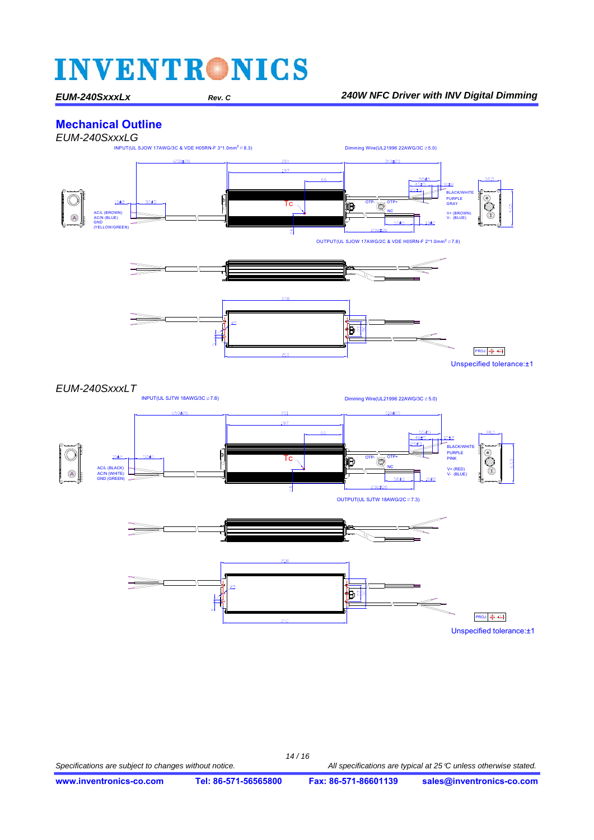### **Mechanical Outline**

*EUM-240SxxxLG* 

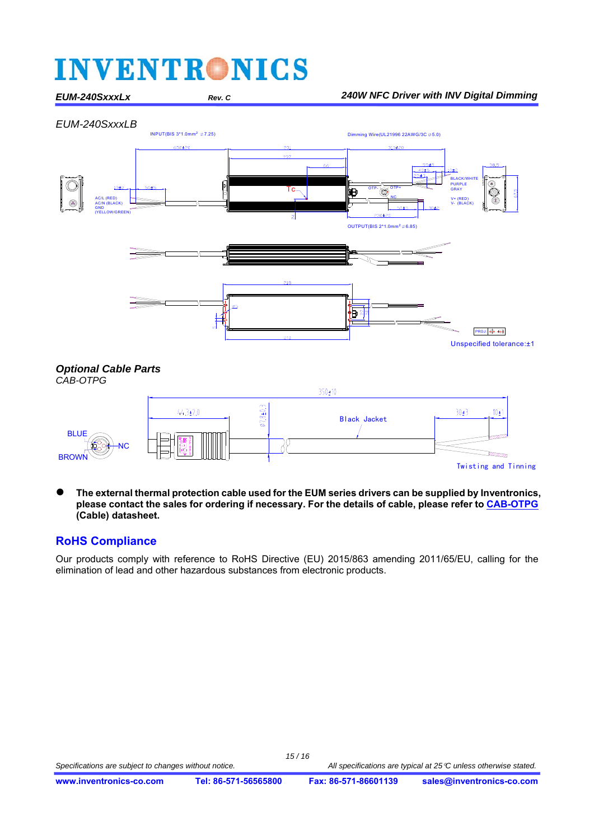### *EUM-240SxxxLx Rev. C 240W NFC Driver with INV Digital Dimming*





#### **The external thermal protection cable used for the EUM series drivers can be supplied by Inventronics, please contact the sales for ordering if necessary. For the details of cable, please refer to [CAB-OTPG](https://www.inventronics-co.com/product/cab-otpg/) (Cable) datasheet.**

### **RoHS Compliance**

Our products comply with reference to RoHS Directive (EU) 2015/863 amending 2011/65/EU, calling for the elimination of lead and other hazardous substances from electronic products.